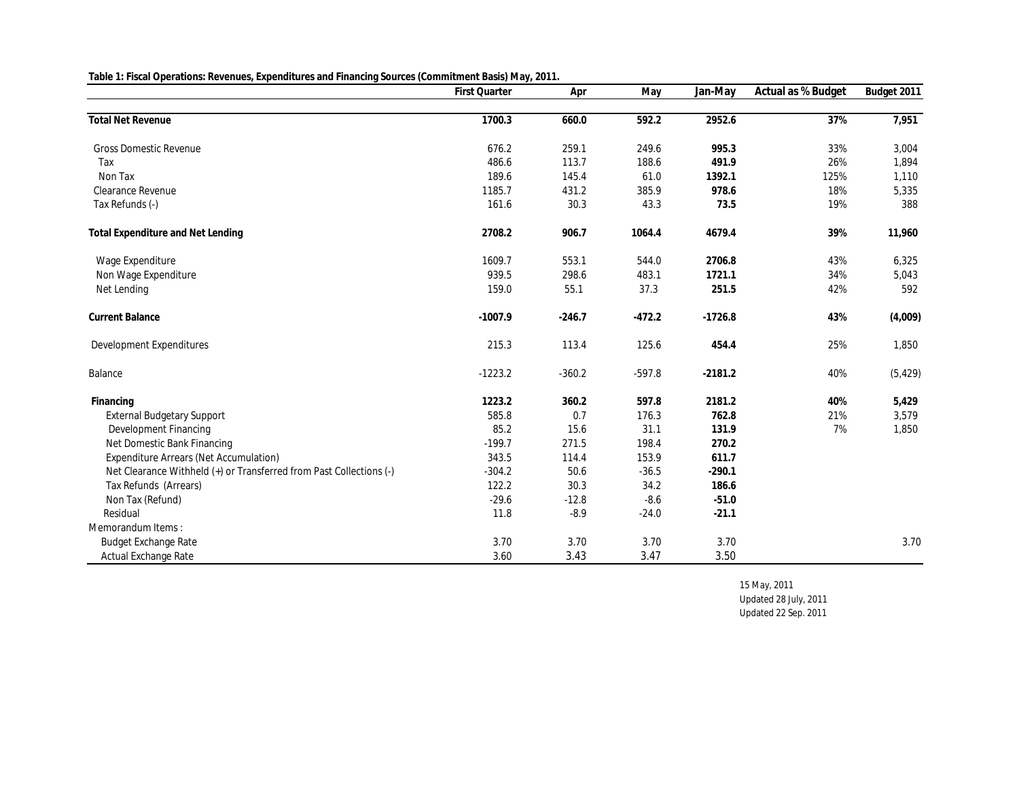**Table 1: Fiscal Operations: Revenues, Expenditures and Financing Sources (Commitment Basis) May, 2011.**

|                                                                     | First Quarter | Apr      | May      | Jan-May   | Actual as % Budget | Budget 2011 |
|---------------------------------------------------------------------|---------------|----------|----------|-----------|--------------------|-------------|
|                                                                     |               |          |          |           |                    |             |
| <b>Total Net Revenue</b>                                            | 1700.3        | 660.0    | 592.2    | 2952.6    | 37%                | 7,951       |
| <b>Gross Domestic Revenue</b>                                       | 676.2         | 259.1    | 249.6    | 995.3     | 33%                | 3,004       |
| Tax                                                                 | 486.6         | 113.7    | 188.6    | 491.9     | 26%                | 1,894       |
| Non Tax                                                             | 189.6         | 145.4    | 61.0     | 1392.1    | 125%               | 1,110       |
| Clearance Revenue                                                   | 1185.7        | 431.2    | 385.9    | 978.6     | 18%                | 5,335       |
| Tax Refunds (-)                                                     | 161.6         | 30.3     | 43.3     | 73.5      | 19%                | 388         |
| Total Expenditure and Net Lending                                   | 2708.2        | 906.7    | 1064.4   | 4679.4    | 39%                | 11,960      |
| Wage Expenditure                                                    | 1609.7        | 553.1    | 544.0    | 2706.8    | 43%                | 6,325       |
| Non Wage Expenditure                                                | 939.5         | 298.6    | 483.1    | 1721.1    | 34%                | 5,043       |
| Net Lending                                                         | 159.0         | 55.1     | 37.3     | 251.5     | 42%                | 592         |
| Current Balance                                                     | $-1007.9$     | $-246.7$ | $-472.2$ | $-1726.8$ | 43%                | (4,009)     |
| Development Expenditures                                            | 215.3         | 113.4    | 125.6    | 454.4     | 25%                | 1,850       |
| Balance                                                             | $-1223.2$     | $-360.2$ | $-597.8$ | $-2181.2$ | 40%                | (5, 429)    |
| Financing                                                           | 1223.2        | 360.2    | 597.8    | 2181.2    | 40%                | 5,429       |
| External Budgetary Support                                          | 585.8         | 0.7      | 176.3    | 762.8     | 21%                | 3,579       |
| Development Financing                                               | 85.2          | 15.6     | 31.1     | 131.9     | 7%                 | 1,850       |
| Net Domestic Bank Financing                                         | $-199.7$      | 271.5    | 198.4    | 270.2     |                    |             |
| Expenditure Arrears (Net Accumulation)                              | 343.5         | 114.4    | 153.9    | 611.7     |                    |             |
| Net Clearance Withheld (+) or Transferred from Past Collections (-) | $-304.2$      | 50.6     | $-36.5$  | $-290.1$  |                    |             |
| Tax Refunds (Arrears)                                               | 122.2         | 30.3     | 34.2     | 186.6     |                    |             |
| Non Tax (Refund)                                                    | $-29.6$       | $-12.8$  | $-8.6$   | $-51.0$   |                    |             |
| Residual                                                            | 11.8          | $-8.9$   | $-24.0$  | $-21.1$   |                    |             |
| Memorandum Items:                                                   |               |          |          |           |                    |             |
| <b>Budget Exchange Rate</b>                                         | 3.70          | 3.70     | 3.70     | 3.70      |                    | 3.70        |
| Actual Exchange Rate                                                | 3.60          | 3.43     | 3.47     | 3.50      |                    |             |

15 May, 2011

Updated 28 July, 2011 Updated 22 Sep. 2011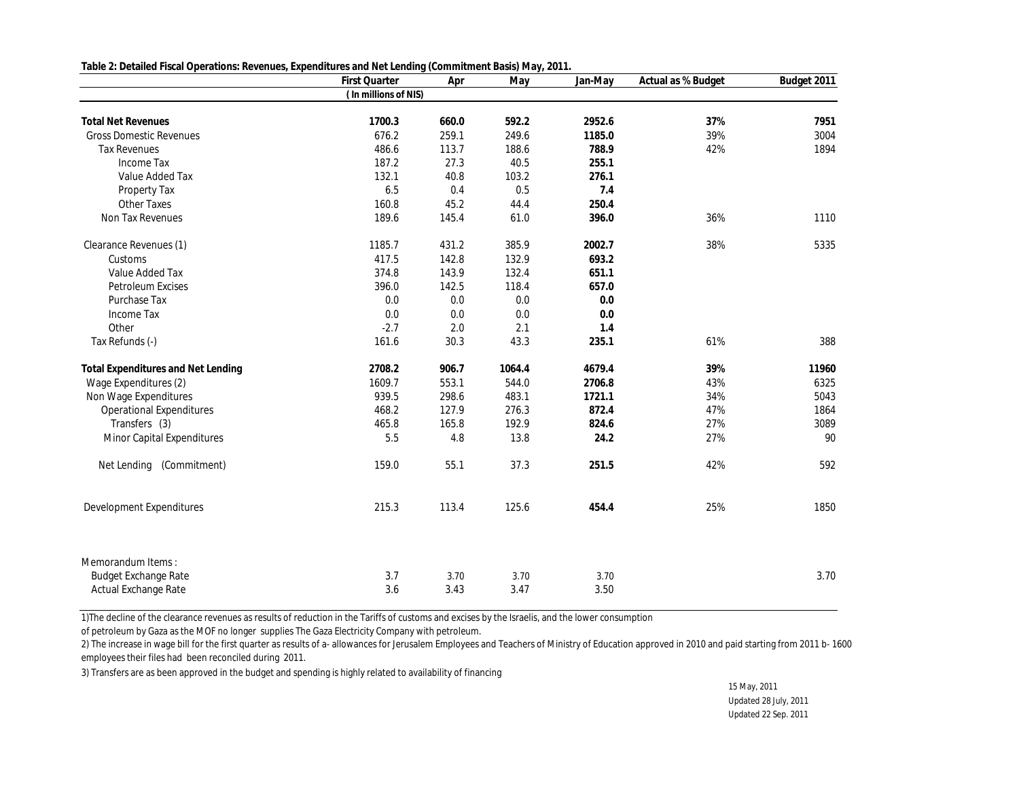**Table 2: Detailed Fiscal Operations: Revenues, Expenditures and Net Lending (Commitment Basis) May, 2011.**

|                                    | First Quarter        | Apr   | May    | Jan-May | Actual as % Budget | Budget 2011 |
|------------------------------------|----------------------|-------|--------|---------|--------------------|-------------|
|                                    | (In millions of NIS) |       |        |         |                    |             |
|                                    |                      |       |        |         |                    |             |
| <b>Total Net Revenues</b>          | 1700.3               | 660.0 | 592.2  | 2952.6  | 37%                | 7951        |
| <b>Gross Domestic Revenues</b>     | 676.2                | 259.1 | 249.6  | 1185.0  | 39%                | 3004        |
| <b>Tax Revenues</b>                | 486.6                | 113.7 | 188.6  | 788.9   | 42%                | 1894        |
| Income Tax                         | 187.2                | 27.3  | 40.5   | 255.1   |                    |             |
| Value Added Tax                    | 132.1                | 40.8  | 103.2  | 276.1   |                    |             |
| Property Tax                       | 6.5                  | 0.4   | 0.5    | 7.4     |                    |             |
| Other Taxes                        | 160.8                | 45.2  | 44.4   | 250.4   |                    |             |
| Non Tax Revenues                   | 189.6                | 145.4 | 61.0   | 396.0   | 36%                | 1110        |
| Clearance Revenues (1)             | 1185.7               | 431.2 | 385.9  | 2002.7  | 38%                | 5335        |
| Customs                            | 417.5                | 142.8 | 132.9  | 693.2   |                    |             |
| Value Added Tax                    | 374.8                | 143.9 | 132.4  | 651.1   |                    |             |
| Petroleum Excises                  | 396.0                | 142.5 | 118.4  | 657.0   |                    |             |
| Purchase Tax                       | 0.0                  | 0.0   | 0.0    | 0.0     |                    |             |
| Income Tax                         | 0.0                  | 0.0   | 0.0    | 0.0     |                    |             |
| Other                              | $-2.7$               | 2.0   | 2.1    | 1.4     |                    |             |
| Tax Refunds (-)                    | 161.6                | 30.3  | 43.3   | 235.1   | 61%                | 388         |
| Total Expenditures and Net Lending | 2708.2               | 906.7 | 1064.4 | 4679.4  | 39%                | 11960       |
| Wage Expenditures (2)              | 1609.7               | 553.1 | 544.0  | 2706.8  | 43%                | 6325        |
| Non Wage Expenditures              | 939.5                | 298.6 | 483.1  | 1721.1  | 34%                | 5043        |
| <b>Operational Expenditures</b>    | 468.2                | 127.9 | 276.3  | 872.4   | 47%                | 1864        |
| Transfers (3)                      | 465.8                | 165.8 | 192.9  | 824.6   | 27%                | 3089        |
| Minor Capital Expenditures         | 5.5                  | 4.8   | 13.8   | 24.2    | 27%                | 90          |
| Net Lending<br>(Commitment)        | 159.0                | 55.1  | 37.3   | 251.5   | 42%                | 592         |
| Development Expenditures           | 215.3                | 113.4 | 125.6  | 454.4   | 25%                | 1850        |
| Memorandum Items:                  |                      |       |        |         |                    |             |
| <b>Budget Exchange Rate</b>        | 3.7                  | 3.70  | 3.70   | 3.70    |                    | 3.70        |
| Actual Exchange Rate               | 3.6                  | 3.43  | 3.47   | 3.50    |                    |             |

1)The decline of the clearance revenues as results of reduction in the Tariffs of customs and excises by the Israelis, and the lower consumption

of petroleum by Gaza as the MOF no longer supplies The Gaza Electricity Company with petroleum.

2) The increase in wage bill for the first quarter as results of a- allowances for Jerusalem Employees and Teachers of Ministry of Education approved in 2010 and paid starting from 2011 b- 1600 employees their files had been reconciled during 2011.

3) Transfers are as been approved in the budget and spending is highly related to availability of financing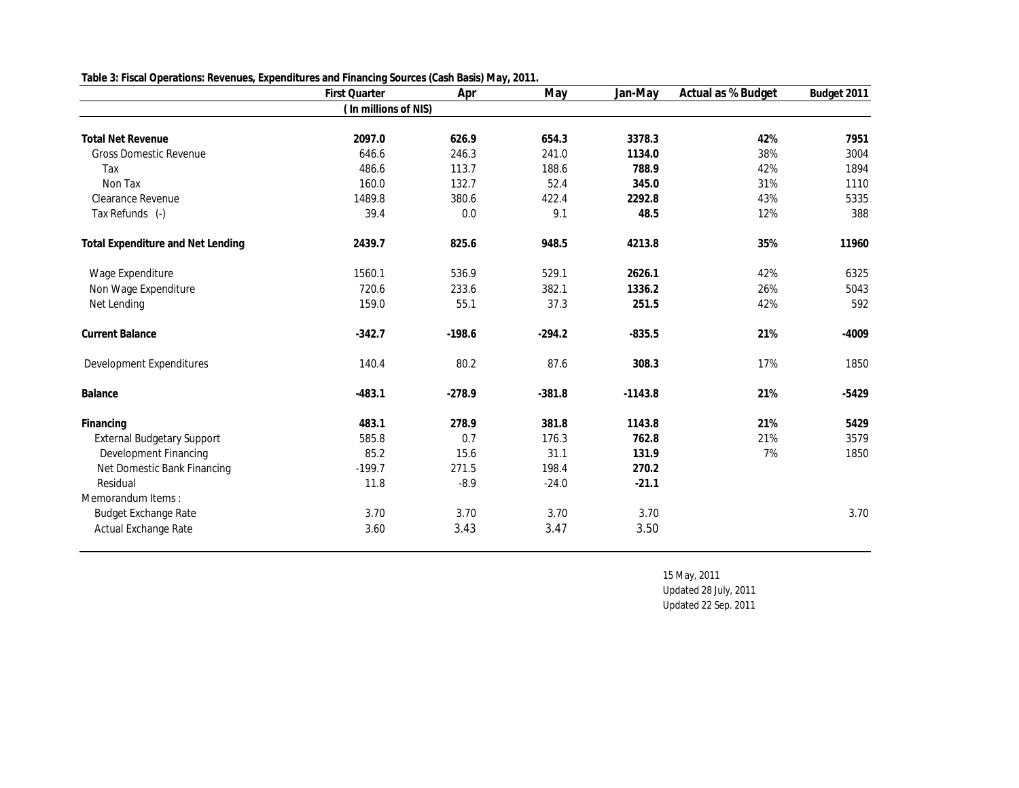| Table 3: Fiscal Operations: Revenues, Expenditures and Financing Sources (Cash Basis) May, 2011. |  |  |
|--------------------------------------------------------------------------------------------------|--|--|
|                                                                                                  |  |  |

|                                   | First Quarter        | Apr      | May      | Jan-May   | Actual as % Budget | Budget 2011 |
|-----------------------------------|----------------------|----------|----------|-----------|--------------------|-------------|
|                                   | (In millions of NIS) |          |          |           |                    |             |
| <b>Total Net Revenue</b>          | 2097.0               | 626.9    | 654.3    | 3378.3    | 42%                | 7951        |
| <b>Gross Domestic Revenue</b>     | 646.6                | 246.3    | 241.0    | 1134.0    | 38%                | 3004        |
| Tax                               | 486.6                | 113.7    | 188.6    | 788.9     | 42%                | 1894        |
| Non Tax                           | 160.0                | 132.7    | 52.4     | 345.0     | 31%                | 1110        |
| Clearance Revenue                 | 1489.8               | 380.6    | 422.4    | 2292.8    | 43%                | 5335        |
| Tax Refunds (-)                   | 39.4                 | 0.0      | 9.1      | 48.5      | 12%                | 388         |
| Total Expenditure and Net Lending | 2439.7               | 825.6    | 948.5    | 4213.8    | 35%                | 11960       |
| Wage Expenditure                  | 1560.1               | 536.9    | 529.1    | 2626.1    | 42%                | 6325        |
| Non Wage Expenditure              | 720.6                | 233.6    | 382.1    | 1336.2    | 26%                | 5043        |
| Net Lending                       | 159.0                | 55.1     | 37.3     | 251.5     | 42%                | 592         |
| <b>Current Balance</b>            | $-342.7$             | $-198.6$ | $-294.2$ | $-835.5$  | 21%                | $-4009$     |
| Development Expenditures          | 140.4                | 80.2     | 87.6     | 308.3     | 17%                | 1850        |
| Balance                           | $-483.1$             | $-278.9$ | $-381.8$ | $-1143.8$ | 21%                | $-5429$     |
| Financing                         | 483.1                | 278.9    | 381.8    | 1143.8    | 21%                | 5429        |
| External Budgetary Support        | 585.8                | 0.7      | 176.3    | 762.8     | 21%                | 3579        |
| Development Financing             | 85.2                 | 15.6     | 31.1     | 131.9     | 7%                 | 1850        |
| Net Domestic Bank Financing       | $-199.7$             | 271.5    | 198.4    | 270.2     |                    |             |
| Residual                          | 11.8                 | $-8.9$   | $-24.0$  | $-21.1$   |                    |             |
| Memorandum Items:                 |                      |          |          |           |                    |             |
| Budget Exchange Rate              | 3.70                 | 3.70     | 3.70     | 3.70      |                    | 3.70        |
| Actual Exchange Rate              | 3.60                 | 3.43     | 3.47     | 3.50      |                    |             |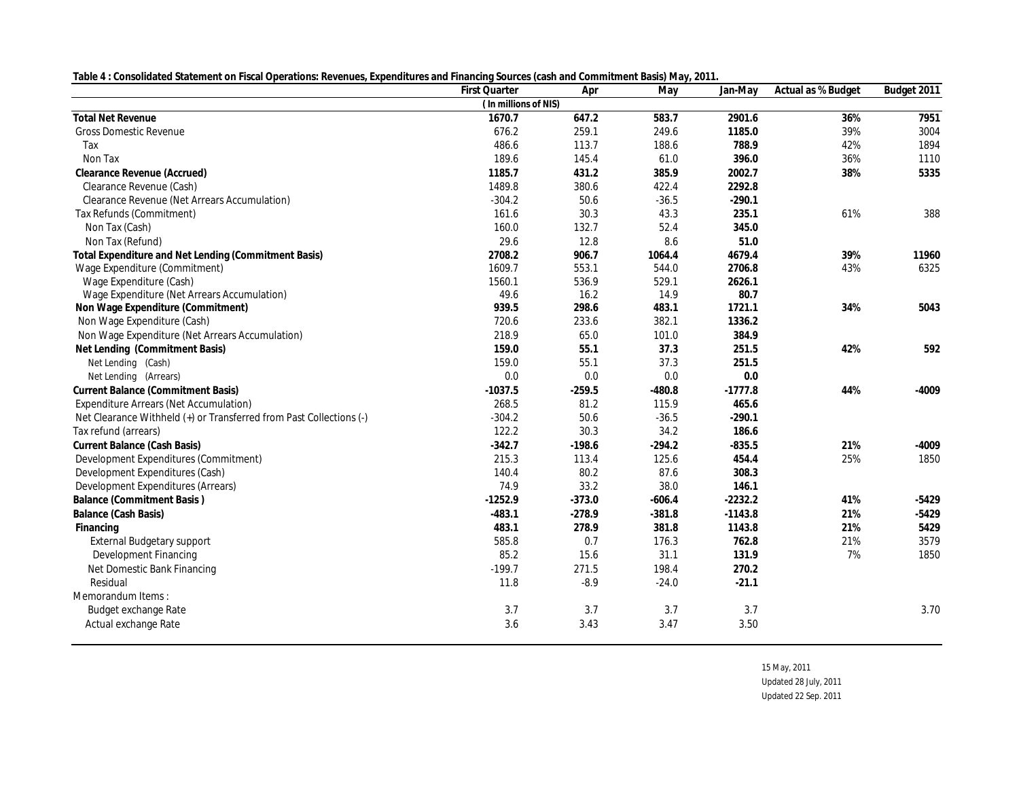| Table 4: Consolidated Statement on Fiscal Operations: Revenues, Expenditures and Financing Sources (cash and Commitment Basis) May, 2011. |  |  |
|-------------------------------------------------------------------------------------------------------------------------------------------|--|--|
|                                                                                                                                           |  |  |

|                                                                     | First Quarter        | Apr      | May      | Jan-May   | Actual as % Budget | Budget 2011 |
|---------------------------------------------------------------------|----------------------|----------|----------|-----------|--------------------|-------------|
|                                                                     | (In millions of NIS) |          |          |           |                    |             |
| <b>Total Net Revenue</b>                                            | 1670.7               | 647.2    | 583.7    | 2901.6    | 36%                | 7951        |
| <b>Gross Domestic Revenue</b>                                       | 676.2                | 259.1    | 249.6    | 1185.0    | 39%                | 3004        |
| Tax                                                                 | 486.6                | 113.7    | 188.6    | 788.9     | 42%                | 1894        |
| Non Tax                                                             | 189.6                | 145.4    | 61.0     | 396.0     | 36%                | 1110        |
| Clearance Revenue (Accrued)                                         | 1185.7               | 431.2    | 385.9    | 2002.7    | 38%                | 5335        |
| Clearance Revenue (Cash)                                            | 1489.8               | 380.6    | 422.4    | 2292.8    |                    |             |
| Clearance Revenue (Net Arrears Accumulation)                        | $-304.2$             | 50.6     | $-36.5$  | $-290.1$  |                    |             |
| Tax Refunds (Commitment)                                            | 161.6                | 30.3     | 43.3     | 235.1     | 61%                | 388         |
| Non Tax (Cash)                                                      | 160.0                | 132.7    | 52.4     | 345.0     |                    |             |
| Non Tax (Refund)                                                    | 29.6                 | 12.8     | 8.6      | 51.0      |                    |             |
| Total Expenditure and Net Lending (Commitment Basis)                | 2708.2               | 906.7    | 1064.4   | 4679.4    | 39%                | 11960       |
| Wage Expenditure (Commitment)                                       | 1609.7               | 553.1    | 544.0    | 2706.8    | 43%                | 6325        |
| Wage Expenditure (Cash)                                             | 1560.1               | 536.9    | 529.1    | 2626.1    |                    |             |
| Wage Expenditure (Net Arrears Accumulation)                         | 49.6                 | 16.2     | 14.9     | 80.7      |                    |             |
| Non Wage Expenditure (Commitment)                                   | 939.5                | 298.6    | 483.1    | 1721.1    | 34%                | 5043        |
| Non Wage Expenditure (Cash)                                         | 720.6                | 233.6    | 382.1    | 1336.2    |                    |             |
| Non Wage Expenditure (Net Arrears Accumulation)                     | 218.9                | 65.0     | 101.0    | 384.9     |                    |             |
| Net Lending (Commitment Basis)                                      | 159.0                | 55.1     | 37.3     | 251.5     | 42%                | 592         |
| Net Lending (Cash)                                                  | 159.0                | 55.1     | 37.3     | 251.5     |                    |             |
| Net Lending (Arrears)                                               | 0.0                  | 0.0      | 0.0      | 0.0       |                    |             |
| Current Balance (Commitment Basis)                                  | $-1037.5$            | $-259.5$ | $-480.8$ | $-1777.8$ | 44%                | $-4009$     |
| Expenditure Arrears (Net Accumulation)                              | 268.5                | 81.2     | 115.9    | 465.6     |                    |             |
| Net Clearance Withheld (+) or Transferred from Past Collections (-) | $-304.2$             | 50.6     | $-36.5$  | $-290.1$  |                    |             |
| Tax refund (arrears)                                                | 122.2                | 30.3     | 34.2     | 186.6     |                    |             |
| Current Balance (Cash Basis)                                        | $-342.7$             | $-198.6$ | $-294.2$ | $-835.5$  | 21%                | $-4009$     |
| Development Expenditures (Commitment)                               | 215.3                | 113.4    | 125.6    | 454.4     | 25%                | 1850        |
| Development Expenditures (Cash)                                     | 140.4                | 80.2     | 87.6     | 308.3     |                    |             |
| Development Expenditures (Arrears)                                  | 74.9                 | 33.2     | 38.0     | 146.1     |                    |             |
| Balance (Commitment Basis)                                          | $-1252.9$            | $-373.0$ | $-606.4$ | $-2232.2$ | 41%                | $-5429$     |
| Balance (Cash Basis)                                                | $-483.1$             | $-278.9$ | $-381.8$ | $-1143.8$ | 21%                | $-5429$     |
| Financing                                                           | 483.1                | 278.9    | 381.8    | 1143.8    | 21%                | 5429        |
| External Budgetary support                                          | 585.8                | 0.7      | 176.3    | 762.8     | 21%                | 3579        |
| Development Financing                                               | 85.2                 | 15.6     | 31.1     | 131.9     | 7%                 | 1850        |
| Net Domestic Bank Financing                                         | $-199.7$             | 271.5    | 198.4    | 270.2     |                    |             |
| Residual                                                            | 11.8                 | $-8.9$   | $-24.0$  | $-21.1$   |                    |             |
| Memorandum Items:                                                   |                      |          |          |           |                    |             |
| Budget exchange Rate                                                | 3.7                  | 3.7      | 3.7      | 3.7       |                    | 3.70        |
| Actual exchange Rate                                                | 3.6                  | 3.43     | 3.47     | 3.50      |                    |             |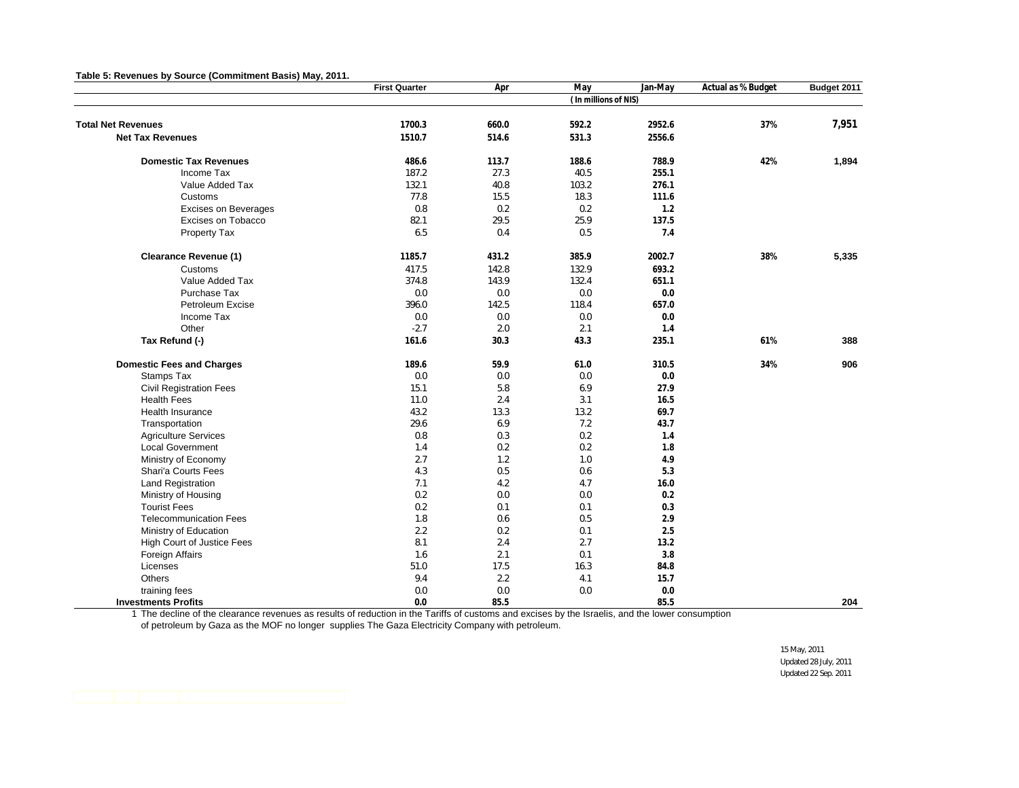|                                   | <b>First Quarter</b> | Apr   | May                  | Jan-May | Actual as % Budget | Budget 2011 |
|-----------------------------------|----------------------|-------|----------------------|---------|--------------------|-------------|
|                                   |                      |       | (In millions of NIS) |         |                    |             |
| <b>Total Net Revenues</b>         | 1700.3               | 660.0 | 592.2                | 2952.6  | 37%                | 7,951       |
| <b>Net Tax Revenues</b>           |                      |       | 531.3                |         |                    |             |
|                                   | 1510.7               | 514.6 |                      | 2556.6  |                    |             |
| <b>Domestic Tax Revenues</b>      | 486.6                | 113.7 | 188.6                | 788.9   | 42%                | 1,894       |
| Income Tax                        | 187.2                | 27.3  | 40.5                 | 255.1   |                    |             |
| Value Added Tax                   | 132.1                | 40.8  | 103.2                | 276.1   |                    |             |
| Customs                           | 77.8                 | 15.5  | 18.3                 | 111.6   |                    |             |
| <b>Excises on Beverages</b>       | 0.8                  | 0.2   | 0.2                  | 1.2     |                    |             |
| Excises on Tobacco                | 82.1                 | 29.5  | 25.9                 | 137.5   |                    |             |
| Property Tax                      | 6.5                  | 0.4   | 0.5                  | 7.4     |                    |             |
| <b>Clearance Revenue (1)</b>      | 1185.7               | 431.2 | 385.9                | 2002.7  | 38%                | 5,335       |
| Customs                           | 417.5                | 142.8 | 132.9                | 693.2   |                    |             |
| Value Added Tax                   | 374.8                | 143.9 | 132.4                | 651.1   |                    |             |
| Purchase Tax                      | 0.0                  | 0.0   | 0.0                  | 0.0     |                    |             |
| Petroleum Excise                  | 396.0                | 142.5 | 118.4                | 657.0   |                    |             |
| Income Tax                        | 0.0                  | 0.0   | 0.0                  | 0.0     |                    |             |
| Other                             | $-2.7$               | 2.0   | 2.1                  | 1.4     |                    |             |
| Tax Refund (-)                    | 161.6                | 30.3  | 43.3                 | 235.1   | 61%                | 388         |
| <b>Domestic Fees and Charges</b>  | 189.6                | 59.9  | 61.0                 | 310.5   | 34%                | 906         |
| Stamps Tax                        | 0.0                  | 0.0   | 0.0                  | 0.0     |                    |             |
| <b>Civil Registration Fees</b>    | 15.1                 | 5.8   | 6.9                  | 27.9    |                    |             |
| <b>Health Fees</b>                | 11.0                 | 2.4   | 3.1                  | 16.5    |                    |             |
| Health Insurance                  | 43.2                 | 13.3  | 13.2                 | 69.7    |                    |             |
| Transportation                    | 29.6                 | 6.9   | 7.2                  | 43.7    |                    |             |
| <b>Agriculture Services</b>       | 0.8                  | 0.3   | 0.2                  | 1.4     |                    |             |
| <b>Local Government</b>           | 1.4                  | 0.2   | 0.2                  | 1.8     |                    |             |
| Ministry of Economy               | 2.7                  | 1.2   | 1.0                  | 4.9     |                    |             |
| Shari'a Courts Fees               | 4.3                  | 0.5   | 0.6                  | 5.3     |                    |             |
| Land Registration                 | 7.1                  | 4.2   | 4.7                  | 16.0    |                    |             |
| Ministry of Housing               | 0.2                  | 0.0   | 0.0                  | 0.2     |                    |             |
| <b>Tourist Fees</b>               | 0.2                  | 0.1   | 0.1                  | 0.3     |                    |             |
| <b>Telecommunication Fees</b>     | 1.8                  | 0.6   | 0.5                  | 2.9     |                    |             |
| Ministry of Education             | 2.2                  | 0.2   | 0.1                  | 2.5     |                    |             |
| <b>High Court of Justice Fees</b> | 8.1                  | 2.4   | 2.7                  | 13.2    |                    |             |
| Foreign Affairs                   | 1.6                  | 2.1   | 0.1                  | 3.8     |                    |             |
| Licenses                          | 51.0                 | 17.5  | 16.3                 | 84.8    |                    |             |
| Others                            | 9.4                  | 2.2   | 4.1                  | 15.7    |                    |             |
| training fees                     | 0.0                  | 0.0   | 0.0                  | 0.0     |                    |             |
| <b>Investments Profits</b>        | 0.0                  | 85.5  |                      | 85.5    |                    | 204         |

1 The decline of the clearance revenues as results of reduction in the Tariffs of customs and excises by the Israelis, and the lower consumption

of petroleum by Gaza as the MOF no longer supplies The Gaza Electricity Company with petroleum.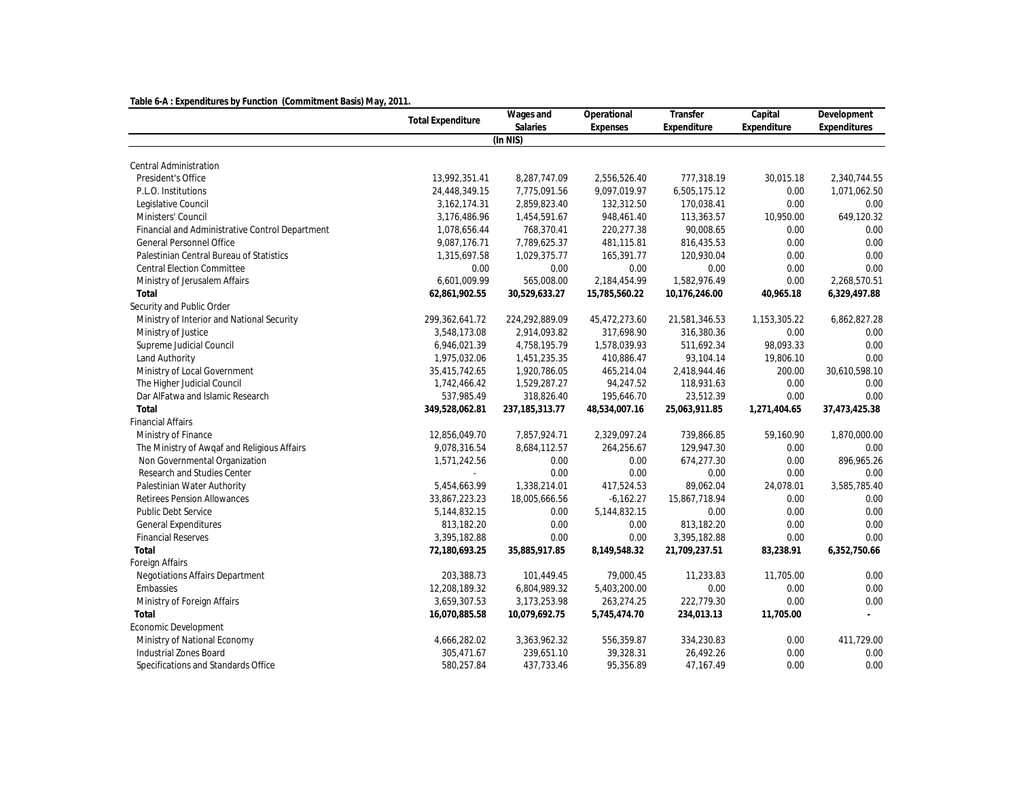| Table 6-A: Expenditures by Function (Commitment Basis) May, 2011 |                          |                   |               |               |              |               |  |  |  |  |
|------------------------------------------------------------------|--------------------------|-------------------|---------------|---------------|--------------|---------------|--|--|--|--|
|                                                                  | <b>Total Expenditure</b> | Wages and         | Operational   | Transfer      | Capital      | Development   |  |  |  |  |
|                                                                  |                          | Salaries          | Expenses      | Expenditure   | Expenditure  | Expenditures  |  |  |  |  |
|                                                                  |                          | (In NIS)          |               |               |              |               |  |  |  |  |
| Central Administration                                           |                          |                   |               |               |              |               |  |  |  |  |
| President's Office                                               | 13,992,351.41            | 8,287,747.09      | 2,556,526.40  | 777,318.19    | 30,015.18    | 2,340,744.55  |  |  |  |  |
| P.L.O. Institutions                                              | 24,448,349.15            | 7,775,091.56      | 9,097,019.97  | 6,505,175.12  | 0.00         | 1,071,062.50  |  |  |  |  |
| Legislative Council                                              | 3, 162, 174. 31          | 2,859,823.40      | 132,312.50    | 170,038.41    | 0.00         | 0.00          |  |  |  |  |
| Ministers' Council                                               | 3,176,486.96             | 1,454,591.67      | 948,461.40    | 113,363.57    | 10,950.00    | 649,120.32    |  |  |  |  |
| Financial and Administrative Control Department                  | 1,078,656.44             | 768,370.41        | 220,277.38    | 90,008.65     | 0.00         | 0.00          |  |  |  |  |
| General Personnel Office                                         | 9,087,176.71             | 7,789,625.37      | 481,115.81    | 816,435.53    | 0.00         | 0.00          |  |  |  |  |
| Palestinian Central Bureau of Statistics                         | 1,315,697.58             | 1,029,375.77      | 165,391.77    | 120,930.04    | 0.00         | 0.00          |  |  |  |  |
| <b>Central Election Committee</b>                                | 0.00                     | 0.00              | 0.00          | 0.00          | 0.00         | 0.00          |  |  |  |  |
| Ministry of Jerusalem Affairs                                    | 6,601,009.99             | 565,008.00        | 2,184,454.99  | 1,582,976.49  | 0.00         | 2,268,570.51  |  |  |  |  |
| Total                                                            | 62,861,902.55            | 30,529,633.27     | 15,785,560.22 | 10,176,246.00 | 40,965.18    | 6,329,497.88  |  |  |  |  |
| Security and Public Order                                        |                          |                   |               |               |              |               |  |  |  |  |
| Ministry of Interior and National Security                       | 299,362,641.72           | 224,292,889.09    | 45,472,273.60 | 21,581,346.53 | 1,153,305.22 | 6,862,827.28  |  |  |  |  |
| Ministry of Justice                                              | 3,548,173.08             | 2,914,093.82      | 317,698.90    | 316,380.36    | 0.00         | 0.00          |  |  |  |  |
| Supreme Judicial Council                                         | 6,946,021.39             | 4,758,195.79      | 1,578,039.93  | 511,692.34    | 98,093.33    | 0.00          |  |  |  |  |
| Land Authority                                                   | 1,975,032.06             | 1,451,235.35      | 410,886.47    | 93,104.14     | 19,806.10    | 0.00          |  |  |  |  |
| Ministry of Local Government                                     | 35,415,742.65            | 1,920,786.05      | 465,214.04    | 2,418,944.46  | 200.00       | 30,610,598.10 |  |  |  |  |
| The Higher Judicial Council                                      | 1,742,466.42             | 1,529,287.27      | 94,247.52     | 118,931.63    | 0.00         | 0.00          |  |  |  |  |
| Dar AlFatwa and Islamic Research                                 | 537,985.49               | 318,826.40        | 195,646.70    | 23,512.39     | 0.00         | 0.00          |  |  |  |  |
| Total                                                            | 349,528,062.81           | 237, 185, 313. 77 | 48,534,007.16 | 25,063,911.85 | 1,271,404.65 | 37,473,425.38 |  |  |  |  |
| <b>Financial Affairs</b>                                         |                          |                   |               |               |              |               |  |  |  |  |
| Ministry of Finance                                              | 12,856,049.70            | 7,857,924.71      | 2,329,097.24  | 739,866.85    | 59,160.90    | 1,870,000.00  |  |  |  |  |
| The Ministry of Awqaf and Religious Affairs                      | 9,078,316.54             | 8,684,112.57      | 264,256.67    | 129,947.30    | 0.00         | 0.00          |  |  |  |  |
| Non Governmental Organization                                    | 1,571,242.56             | 0.00              | 0.00          | 674,277.30    | 0.00         | 896,965.26    |  |  |  |  |
| Research and Studies Center                                      |                          | 0.00              | 0.00          | 0.00          | 0.00         | 0.00          |  |  |  |  |
| Palestinian Water Authority                                      | 5,454,663.99             | 1,338,214.01      | 417,524.53    | 89,062.04     | 24,078.01    | 3,585,785.40  |  |  |  |  |
| Retirees Pension Allowances                                      | 33,867,223.23            | 18,005,666.56     | $-6,162.27$   | 15,867,718.94 | 0.00         | 0.00          |  |  |  |  |
| Public Debt Service                                              | 5,144,832.15             | 0.00              | 5,144,832.15  | 0.00          | 0.00         | 0.00          |  |  |  |  |
| <b>General Expenditures</b>                                      | 813,182.20               | 0.00              | 0.00          | 813,182.20    | 0.00         | 0.00          |  |  |  |  |
| <b>Financial Reserves</b>                                        | 3,395,182.88             | 0.00              | 0.00          | 3,395,182.88  | 0.00         | 0.00          |  |  |  |  |
| Total                                                            | 72,180,693.25            | 35,885,917.85     | 8,149,548.32  | 21,709,237.51 | 83,238.91    | 6,352,750.66  |  |  |  |  |
| Foreign Affairs                                                  |                          |                   |               |               |              |               |  |  |  |  |
| Negotiations Affairs Department                                  | 203,388.73               | 101,449.45        | 79,000.45     | 11,233.83     | 11,705.00    | 0.00          |  |  |  |  |
| Embassies                                                        | 12,208,189.32            | 6,804,989.32      | 5,403,200.00  | 0.00          | 0.00         | 0.00          |  |  |  |  |
| Ministry of Foreign Affairs                                      | 3,659,307.53             | 3,173,253.98      | 263,274.25    | 222,779.30    | 0.00         | 0.00          |  |  |  |  |
| Total                                                            | 16,070,885.58            | 10,079,692.75     | 5,745,474.70  | 234,013.13    | 11,705.00    | $\sim$        |  |  |  |  |
| Economic Development                                             |                          |                   |               |               |              |               |  |  |  |  |
| Ministry of National Economy                                     | 4,666,282.02             | 3,363,962.32      | 556,359.87    | 334,230.83    | 0.00         | 411,729.00    |  |  |  |  |
| Industrial Zones Board                                           | 305,471.67               | 239,651.10        | 39,328.31     | 26,492.26     | 0.00         | 0.00          |  |  |  |  |
| Specifications and Standards Office                              | 580,257.84               | 437,733.46        | 95,356.89     | 47,167.49     | 0.00         | 0.00          |  |  |  |  |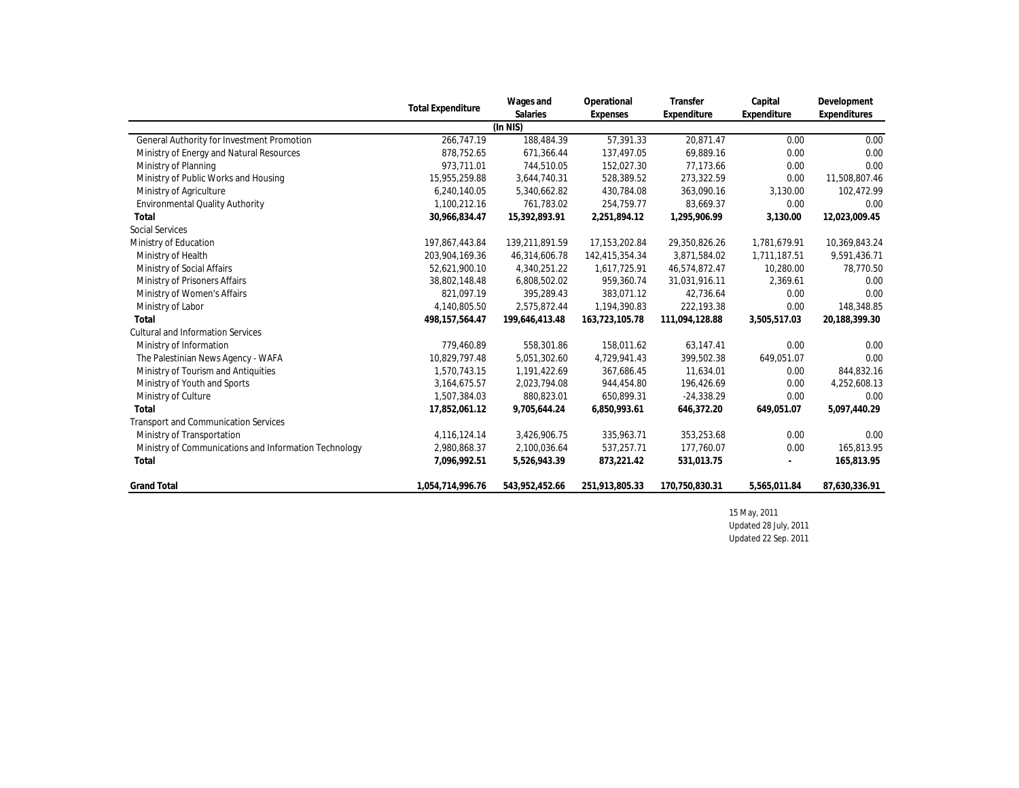|                                                       | <b>Total Expenditure</b> | Wages and      | Operational    | Transfer       | Capital                  | Development   |
|-------------------------------------------------------|--------------------------|----------------|----------------|----------------|--------------------------|---------------|
|                                                       |                          | Salaries       | Expenses       | Expenditure    | Expenditure              | Expenditures  |
|                                                       |                          | (ln NIS)       |                |                |                          |               |
| General Authority for Investment Promotion            | 266.747.19               | 188,484.39     | 57.391.33      | 20.871.47      | 0.00                     | 0.00          |
| Ministry of Energy and Natural Resources              | 878,752.65               | 671,366.44     | 137.497.05     | 69,889.16      | 0.00                     | 0.00          |
| Ministry of Planning                                  | 973.711.01               | 744,510.05     | 152,027.30     | 77,173.66      | 0.00                     | 0.00          |
| Ministry of Public Works and Housing                  | 15,955,259.88            | 3,644,740.31   | 528,389.52     | 273,322.59     | 0.00                     | 11,508,807.46 |
| Ministry of Agriculture                               | 6.240.140.05             | 5,340,662.82   | 430,784.08     | 363,090.16     | 3,130.00                 | 102,472.99    |
| Environmental Quality Authority                       | 1,100,212.16             | 761,783.02     | 254,759.77     | 83,669.37      | 0.00                     | 0.00          |
| Total                                                 | 30,966,834.47            | 15,392,893.91  | 2,251,894.12   | 1,295,906.99   | 3,130.00                 | 12,023,009.45 |
| Social Services                                       |                          |                |                |                |                          |               |
| Ministry of Education                                 | 197,867,443.84           | 139,211,891.59 | 17,153,202.84  | 29,350,826.26  | 1,781,679.91             | 10,369,843.24 |
| Ministry of Health                                    | 203,904,169.36           | 46,314,606.78  | 142,415,354.34 | 3,871,584.02   | 1,711,187.51             | 9,591,436.71  |
| Ministry of Social Affairs                            | 52,621,900.10            | 4,340,251.22   | 1,617,725.91   | 46,574,872.47  | 10,280.00                | 78,770.50     |
| Ministry of Prisoners Affairs                         | 38,802,148.48            | 6,808,502.02   | 959,360.74     | 31,031,916.11  | 2,369.61                 | 0.00          |
| Ministry of Women's Affairs                           | 821.097.19               | 395,289.43     | 383,071.12     | 42,736.64      | 0.00                     | 0.00          |
| Ministry of Labor                                     | 4,140,805.50             | 2,575,872.44   | 1,194,390.83   | 222,193.38     | 0.00                     | 148,348.85    |
| Total                                                 | 498, 157, 564.47         | 199,646,413.48 | 163,723,105.78 | 111,094,128.88 | 3,505,517.03             | 20,188,399.30 |
| <b>Cultural and Information Services</b>              |                          |                |                |                |                          |               |
| Ministry of Information                               | 779,460.89               | 558,301.86     | 158,011.62     | 63,147.41      | 0.00                     | 0.00          |
| The Palestinian News Agency - WAFA                    | 10,829,797.48            | 5,051,302.60   | 4,729,941.43   | 399,502.38     | 649,051.07               | 0.00          |
| Ministry of Tourism and Antiquities                   | 1,570,743.15             | 1,191,422.69   | 367,686.45     | 11,634.01      | 0.00                     | 844,832.16    |
| Ministry of Youth and Sports                          | 3,164,675.57             | 2,023,794.08   | 944,454.80     | 196,426.69     | 0.00                     | 4,252,608.13  |
| Ministry of Culture                                   | 1,507,384.03             | 880,823.01     | 650,899.31     | $-24,338.29$   | 0.00                     | 0.00          |
| Total                                                 | 17,852,061.12            | 9,705,644.24   | 6,850,993.61   | 646,372.20     | 649,051.07               | 5,097,440.29  |
| Transport and Communication Services                  |                          |                |                |                |                          |               |
| Ministry of Transportation                            | 4,116,124.14             | 3,426,906.75   | 335,963.71     | 353,253.68     | 0.00                     | 0.00          |
| Ministry of Communications and Information Technology | 2,980,868.37             | 2,100,036.64   | 537,257.71     | 177,760.07     | 0.00                     | 165,813.95    |
| Total                                                 | 7,096,992.51             | 5,526,943.39   | 873,221.42     | 531,013.75     | $\overline{\phantom{a}}$ | 165,813.95    |
| <b>Grand Total</b>                                    | 1,054,714,996.76         | 543,952,452.66 | 251,913,805.33 | 170,750,830.31 | 5,565,011.84             | 87,630,336.91 |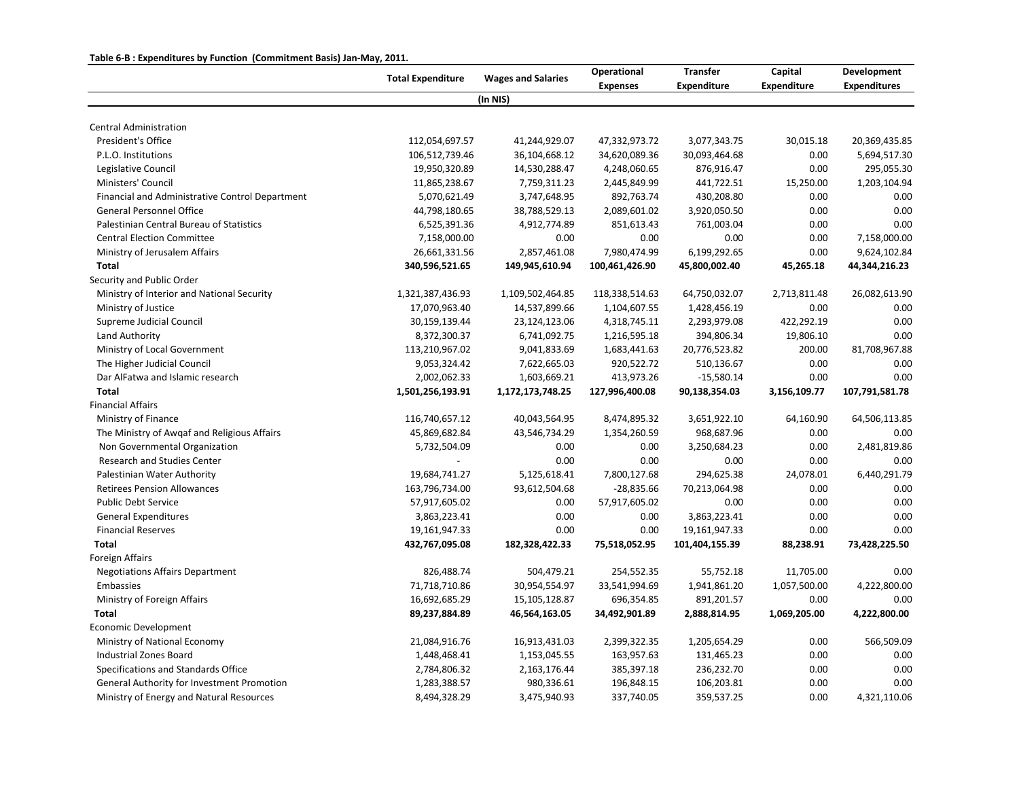## **Table 6-B : Expenditures by Function (Commitment Basis) Jan-May, 2011.**

|                                                 |                          |                           | Operational     | <b>Transfer</b>    | Capital      | Development         |  |
|-------------------------------------------------|--------------------------|---------------------------|-----------------|--------------------|--------------|---------------------|--|
|                                                 | <b>Total Expenditure</b> | <b>Wages and Salaries</b> | <b>Expenses</b> | <b>Expenditure</b> | Expenditure  | <b>Expenditures</b> |  |
|                                                 |                          | (In NIS)                  |                 |                    |              |                     |  |
| <b>Central Administration</b>                   |                          |                           |                 |                    |              |                     |  |
| President's Office                              | 112,054,697.57           | 41,244,929.07             | 47,332,973.72   | 3,077,343.75       | 30,015.18    | 20,369,435.85       |  |
| P.L.O. Institutions                             | 106,512,739.46           | 36,104,668.12             | 34,620,089.36   | 30,093,464.68      | 0.00         | 5,694,517.30        |  |
| Legislative Council                             | 19,950,320.89            | 14,530,288.47             | 4,248,060.65    | 876,916.47         | 0.00         | 295,055.30          |  |
| Ministers' Council                              | 11,865,238.67            | 7,759,311.23              | 2,445,849.99    | 441,722.51         | 15,250.00    | 1,203,104.94        |  |
| Financial and Administrative Control Department | 5,070,621.49             | 3,747,648.95              | 892,763.74      | 430,208.80         | 0.00         | 0.00                |  |
| <b>General Personnel Office</b>                 | 44,798,180.65            | 38,788,529.13             | 2,089,601.02    | 3,920,050.50       | 0.00         | 0.00                |  |
| Palestinian Central Bureau of Statistics        | 6,525,391.36             | 4,912,774.89              | 851,613.43      | 761,003.04         | 0.00         | 0.00                |  |
| <b>Central Election Committee</b>               | 7,158,000.00             | 0.00                      | 0.00            | 0.00               | 0.00         | 7,158,000.00        |  |
| Ministry of Jerusalem Affairs                   | 26,661,331.56            | 2,857,461.08              | 7,980,474.99    | 6,199,292.65       | 0.00         | 9,624,102.84        |  |
| <b>Total</b>                                    | 340,596,521.65           | 149,945,610.94            | 100,461,426.90  | 45,800,002.40      | 45,265.18    | 44,344,216.23       |  |
| Security and Public Order                       |                          |                           |                 |                    |              |                     |  |
| Ministry of Interior and National Security      | 1,321,387,436.93         | 1,109,502,464.85          | 118,338,514.63  | 64,750,032.07      | 2,713,811.48 | 26,082,613.90       |  |
| Ministry of Justice                             | 17,070,963.40            | 14,537,899.66             | 1,104,607.55    | 1,428,456.19       | 0.00         | 0.00                |  |
| Supreme Judicial Council                        | 30,159,139.44            | 23,124,123.06             | 4,318,745.11    | 2,293,979.08       | 422,292.19   | 0.00                |  |
| Land Authority                                  | 8,372,300.37             | 6,741,092.75              | 1,216,595.18    | 394,806.34         | 19,806.10    | 0.00                |  |
| Ministry of Local Government                    | 113,210,967.02           | 9,041,833.69              | 1,683,441.63    | 20,776,523.82      | 200.00       | 81,708,967.88       |  |
| The Higher Judicial Council                     | 9,053,324.42             | 7,622,665.03              | 920,522.72      | 510,136.67         | 0.00         | 0.00                |  |
| Dar AlFatwa and Islamic research                | 2,002,062.33             | 1,603,669.21              | 413,973.26      | $-15,580.14$       | 0.00         | 0.00                |  |
| <b>Total</b>                                    | 1,501,256,193.91         | 1,172,173,748.25          | 127,996,400.08  | 90,138,354.03      | 3,156,109.77 | 107,791,581.78      |  |
| <b>Financial Affairs</b>                        |                          |                           |                 |                    |              |                     |  |
| Ministry of Finance                             | 116,740,657.12           | 40,043,564.95             | 8,474,895.32    | 3,651,922.10       | 64,160.90    | 64,506,113.85       |  |
| The Ministry of Awqaf and Religious Affairs     | 45,869,682.84            | 43,546,734.29             | 1,354,260.59    | 968,687.96         | 0.00         | 0.00                |  |
| Non Governmental Organization                   | 5,732,504.09             | 0.00                      | 0.00            | 3,250,684.23       | 0.00         | 2,481,819.86        |  |
| <b>Research and Studies Center</b>              | $\overline{a}$           | 0.00                      | 0.00            | 0.00               | 0.00         | 0.00                |  |
| Palestinian Water Authority                     | 19,684,741.27            | 5,125,618.41              | 7,800,127.68    | 294,625.38         | 24,078.01    | 6,440,291.79        |  |
| <b>Retirees Pension Allowances</b>              | 163,796,734.00           | 93,612,504.68             | $-28,835.66$    | 70,213,064.98      | 0.00         | 0.00                |  |
| <b>Public Debt Service</b>                      | 57,917,605.02            | 0.00                      | 57,917,605.02   | 0.00               | 0.00         | 0.00                |  |
| <b>General Expenditures</b>                     | 3,863,223.41             | 0.00                      | 0.00            | 3,863,223.41       | 0.00         | 0.00                |  |
| <b>Financial Reserves</b>                       | 19,161,947.33            | 0.00                      | 0.00            | 19,161,947.33      | 0.00         | 0.00                |  |
| <b>Total</b>                                    | 432,767,095.08           | 182,328,422.33            | 75,518,052.95   | 101,404,155.39     | 88,238.91    | 73,428,225.50       |  |
| Foreign Affairs                                 |                          |                           |                 |                    |              |                     |  |
| <b>Negotiations Affairs Department</b>          | 826,488.74               | 504,479.21                | 254,552.35      | 55,752.18          | 11,705.00    | 0.00                |  |
| Embassies                                       | 71,718,710.86            | 30,954,554.97             | 33,541,994.69   | 1,941,861.20       | 1,057,500.00 | 4,222,800.00        |  |
| Ministry of Foreign Affairs                     | 16,692,685.29            | 15,105,128.87             | 696,354.85      | 891,201.57         | 0.00         | 0.00                |  |
| Total                                           | 89,237,884.89            | 46,564,163.05             | 34,492,901.89   | 2,888,814.95       | 1,069,205.00 | 4,222,800.00        |  |
| <b>Economic Development</b>                     |                          |                           |                 |                    |              |                     |  |
| Ministry of National Economy                    | 21,084,916.76            | 16,913,431.03             | 2,399,322.35    | 1,205,654.29       | 0.00         | 566,509.09          |  |
| Industrial Zones Board                          | 1,448,468.41             | 1,153,045.55              | 163,957.63      | 131,465.23         | 0.00         | 0.00                |  |
| Specifications and Standards Office             | 2,784,806.32             | 2,163,176.44              | 385,397.18      | 236,232.70         | 0.00         | 0.00                |  |
| General Authority for Investment Promotion      | 1,283,388.57             | 980,336.61                | 196,848.15      | 106,203.81         | 0.00         | 0.00                |  |
| Ministry of Energy and Natural Resources        | 8,494,328.29             | 3,475,940.93              | 337,740.05      | 359,537.25         | 0.00         | 4,321,110.06        |  |
|                                                 |                          |                           |                 |                    |              |                     |  |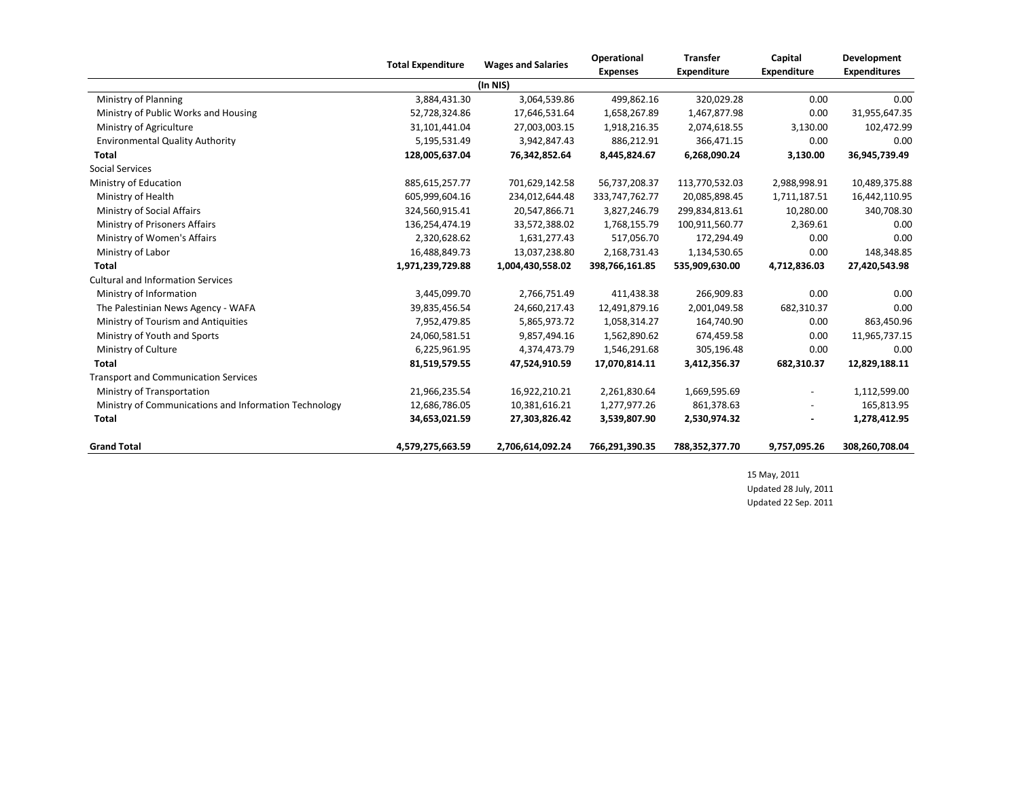|                                                       |                  | Operational<br><b>Total Expenditure</b><br><b>Wages and Salaries</b> |                 | <b>Transfer</b>    | Capital                  | Development         |
|-------------------------------------------------------|------------------|----------------------------------------------------------------------|-----------------|--------------------|--------------------------|---------------------|
|                                                       |                  |                                                                      | <b>Expenses</b> | <b>Expenditure</b> | <b>Expenditure</b>       | <b>Expenditures</b> |
|                                                       |                  | (In NIS)                                                             |                 |                    |                          |                     |
| Ministry of Planning                                  | 3,884,431.30     | 3,064,539.86                                                         | 499,862.16      | 320,029.28         | 0.00                     | 0.00                |
| Ministry of Public Works and Housing                  | 52,728,324.86    | 17,646,531.64                                                        | 1,658,267.89    | 1,467,877.98       | 0.00                     | 31,955,647.35       |
| Ministry of Agriculture                               | 31,101,441.04    | 27,003,003.15                                                        | 1,918,216.35    | 2,074,618.55       | 3,130.00                 | 102,472.99          |
| <b>Environmental Quality Authority</b>                | 5,195,531.49     | 3,942,847.43                                                         | 886,212.91      | 366,471.15         | 0.00                     | 0.00                |
| <b>Total</b>                                          | 128,005,637.04   | 76,342,852.64                                                        | 8,445,824.67    | 6,268,090.24       | 3,130.00                 | 36,945,739.49       |
| <b>Social Services</b>                                |                  |                                                                      |                 |                    |                          |                     |
| Ministry of Education                                 | 885,615,257.77   | 701,629,142.58                                                       | 56,737,208.37   | 113,770,532.03     | 2,988,998.91             | 10,489,375.88       |
| Ministry of Health                                    | 605,999,604.16   | 234,012,644.48                                                       | 333,747,762.77  | 20,085,898.45      | 1,711,187.51             | 16,442,110.95       |
| Ministry of Social Affairs                            | 324,560,915.41   | 20,547,866.71                                                        | 3,827,246.79    | 299,834,813.61     | 10,280.00                | 340,708.30          |
| Ministry of Prisoners Affairs                         | 136,254,474.19   | 33,572,388.02                                                        | 1,768,155.79    | 100,911,560.77     | 2,369.61                 | 0.00                |
| Ministry of Women's Affairs                           | 2,320,628.62     | 1,631,277.43                                                         | 517,056.70      | 172,294.49         | 0.00                     | 0.00                |
| Ministry of Labor                                     | 16,488,849.73    | 13,037,238.80                                                        | 2,168,731.43    | 1,134,530.65       | 0.00                     | 148,348.85          |
| <b>Total</b>                                          | 1,971,239,729.88 | 1,004,430,558.02                                                     | 398,766,161.85  | 535,909,630.00     | 4,712,836.03             | 27,420,543.98       |
| <b>Cultural and Information Services</b>              |                  |                                                                      |                 |                    |                          |                     |
| Ministry of Information                               | 3,445,099.70     | 2,766,751.49                                                         | 411,438.38      | 266,909.83         | 0.00                     | 0.00                |
| The Palestinian News Agency - WAFA                    | 39,835,456.54    | 24,660,217.43                                                        | 12,491,879.16   | 2,001,049.58       | 682,310.37               | 0.00                |
| Ministry of Tourism and Antiquities                   | 7,952,479.85     | 5,865,973.72                                                         | 1,058,314.27    | 164,740.90         | 0.00                     | 863,450.96          |
| Ministry of Youth and Sports                          | 24,060,581.51    | 9,857,494.16                                                         | 1,562,890.62    | 674,459.58         | 0.00                     | 11,965,737.15       |
| Ministry of Culture                                   | 6,225,961.95     | 4,374,473.79                                                         | 1,546,291.68    | 305,196.48         | 0.00                     | 0.00                |
| <b>Total</b>                                          | 81,519,579.55    | 47,524,910.59                                                        | 17,070,814.11   | 3,412,356.37       | 682,310.37               | 12,829,188.11       |
| <b>Transport and Communication Services</b>           |                  |                                                                      |                 |                    |                          |                     |
| Ministry of Transportation                            | 21,966,235.54    | 16,922,210.21                                                        | 2,261,830.64    | 1,669,595.69       | $\overline{\phantom{a}}$ | 1,112,599.00        |
| Ministry of Communications and Information Technology | 12,686,786.05    | 10,381,616.21                                                        | 1,277,977.26    | 861,378.63         |                          | 165,813.95          |
| Total                                                 | 34,653,021.59    | 27,303,826.42                                                        | 3,539,807.90    | 2,530,974.32       | $\overline{\phantom{a}}$ | 1,278,412.95        |
| <b>Grand Total</b>                                    | 4,579,275,663.59 | 2,706,614,092.24                                                     | 766,291,390.35  | 788,352,377.70     | 9,757,095.26             | 308,260,708.04      |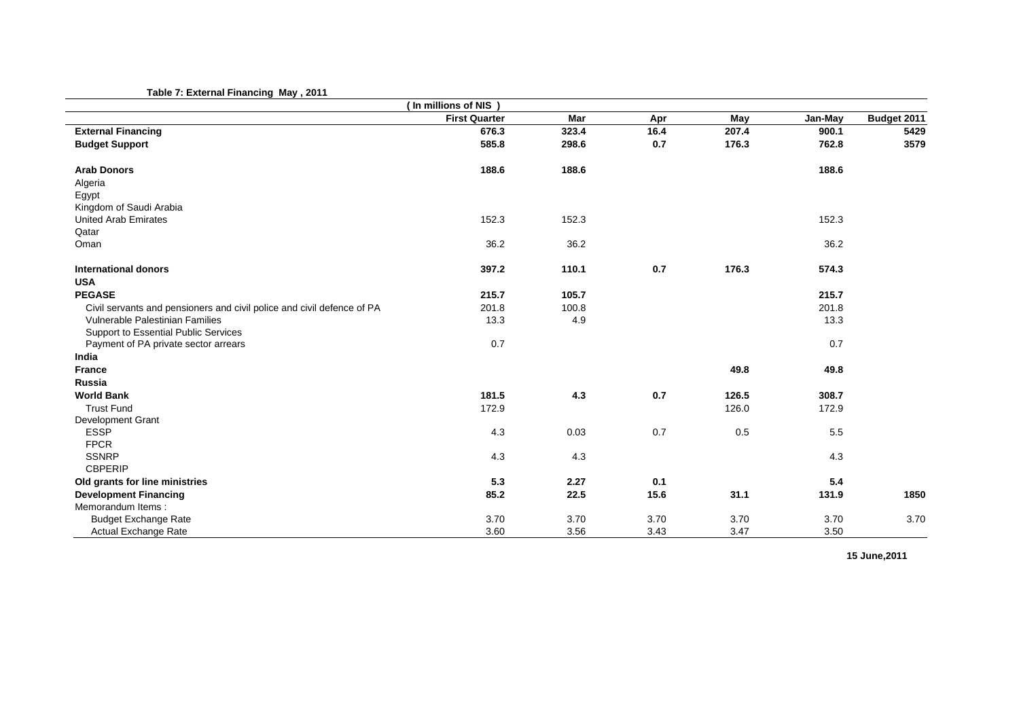## **Table 7: External Financing May , 2011**

|                                                                        | (In millions of NIS) |       |      |       |         |             |
|------------------------------------------------------------------------|----------------------|-------|------|-------|---------|-------------|
|                                                                        | <b>First Quarter</b> | Mar   | Apr  | May   | Jan-May | Budget 2011 |
| <b>External Financing</b>                                              | 676.3                | 323.4 | 16.4 | 207.4 | 900.1   | 5429        |
| <b>Budget Support</b>                                                  | 585.8                | 298.6 | 0.7  | 176.3 | 762.8   | 3579        |
| <b>Arab Donors</b>                                                     | 188.6                | 188.6 |      |       | 188.6   |             |
| Algeria                                                                |                      |       |      |       |         |             |
| Egypt                                                                  |                      |       |      |       |         |             |
| Kingdom of Saudi Arabia                                                |                      |       |      |       |         |             |
| <b>United Arab Emirates</b>                                            | 152.3                | 152.3 |      |       | 152.3   |             |
| Qatar                                                                  |                      |       |      |       |         |             |
| Oman                                                                   | 36.2                 | 36.2  |      |       | 36.2    |             |
| International donors                                                   | 397.2                | 110.1 | 0.7  | 176.3 | 574.3   |             |
| <b>USA</b>                                                             |                      |       |      |       |         |             |
| <b>PEGASE</b>                                                          | 215.7                | 105.7 |      |       | 215.7   |             |
| Civil servants and pensioners and civil police and civil defence of PA | 201.8                | 100.8 |      |       | 201.8   |             |
| Vulnerable Palestinian Families                                        | 13.3                 | 4.9   |      |       | 13.3    |             |
| Support to Essential Public Services                                   |                      |       |      |       |         |             |
| Payment of PA private sector arrears                                   | 0.7                  |       |      |       | 0.7     |             |
| India                                                                  |                      |       |      |       |         |             |
| <b>France</b>                                                          |                      |       |      | 49.8  | 49.8    |             |
| <b>Russia</b>                                                          |                      |       |      |       |         |             |
| <b>World Bank</b>                                                      | 181.5                | 4.3   | 0.7  | 126.5 | 308.7   |             |
| <b>Trust Fund</b>                                                      | 172.9                |       |      | 126.0 | 172.9   |             |
| Development Grant                                                      |                      |       |      |       |         |             |
| <b>ESSP</b>                                                            | 4.3                  | 0.03  | 0.7  | 0.5   | $5.5\,$ |             |
| <b>FPCR</b>                                                            |                      |       |      |       |         |             |
| <b>SSNRP</b>                                                           | 4.3                  | 4.3   |      |       | 4.3     |             |
| <b>CBPERIP</b>                                                         |                      |       |      |       |         |             |
| Old grants for line ministries                                         | 5.3                  | 2.27  | 0.1  |       | 5.4     |             |
| <b>Development Financing</b>                                           | 85.2                 | 22.5  | 15.6 | 31.1  | 131.9   | 1850        |
| Memorandum Items:                                                      |                      |       |      |       |         |             |
| <b>Budget Exchange Rate</b>                                            | 3.70                 | 3.70  | 3.70 | 3.70  | 3.70    | 3.70        |
| Actual Exchange Rate                                                   | 3.60                 | 3.56  | 3.43 | 3.47  | 3.50    |             |

**15 June,2011**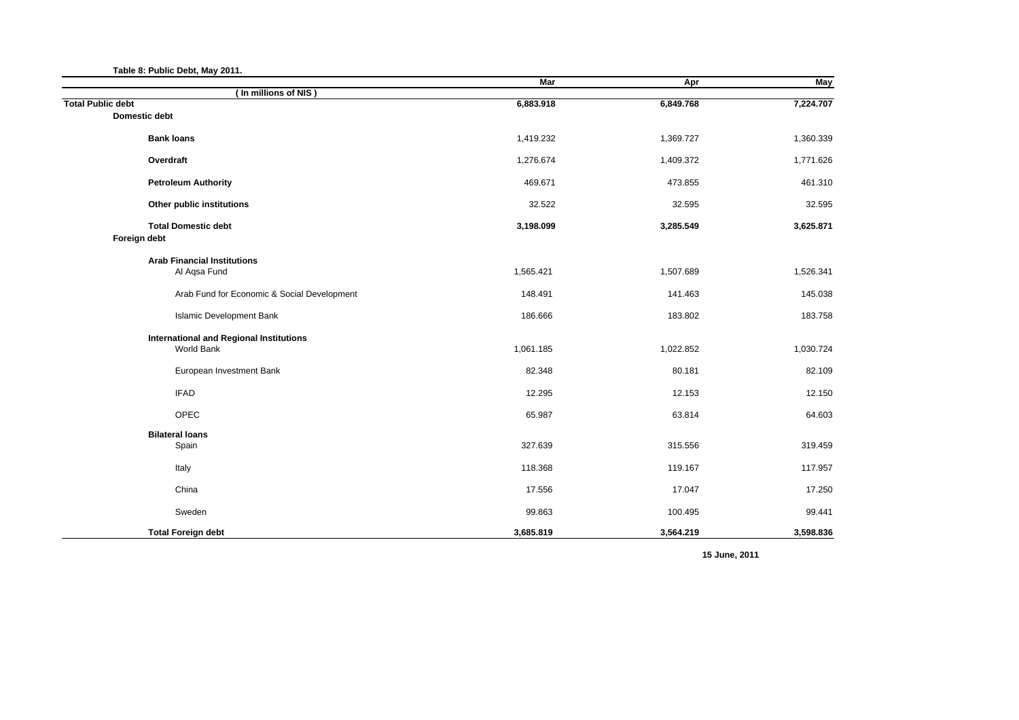| Table 8: Public Debt, May 2011.                  |            |           |            |
|--------------------------------------------------|------------|-----------|------------|
|                                                  | <b>Mar</b> | Apr       | <b>May</b> |
| (In millions of NIS)<br><b>Total Public debt</b> | 6,883.918  | 6,849.768 | 7,224.707  |
| <b>Domestic debt</b>                             |            |           |            |
| <b>Bank loans</b>                                | 1,419.232  | 1,369.727 | 1,360.339  |
| Overdraft                                        | 1,276.674  | 1,409.372 | 1,771.626  |
| <b>Petroleum Authority</b>                       | 469.671    | 473.855   | 461.310    |
| Other public institutions                        | 32.522     | 32.595    | 32.595     |
| <b>Total Domestic debt</b>                       | 3,198.099  | 3,285.549 | 3,625.871  |
| Foreign debt                                     |            |           |            |
| <b>Arab Financial Institutions</b>               |            |           |            |
| Al Agsa Fund                                     | 1,565.421  | 1,507.689 | 1,526.341  |
| Arab Fund for Economic & Social Development      | 148.491    | 141.463   | 145.038    |
| <b>Islamic Development Bank</b>                  | 186.666    | 183.802   | 183.758    |
| <b>International and Regional Institutions</b>   |            |           |            |
| World Bank                                       | 1,061.185  | 1,022.852 | 1,030.724  |
| European Investment Bank                         | 82.348     | 80.181    | 82.109     |
| <b>IFAD</b>                                      | 12.295     | 12.153    | 12.150     |
| OPEC                                             | 65.987     | 63.814    | 64.603     |
| <b>Bilateral loans</b>                           |            |           |            |
| Spain                                            | 327.639    | 315.556   | 319.459    |
| Italy                                            | 118.368    | 119.167   | 117.957    |
| China                                            | 17.556     | 17.047    | 17.250     |
| Sweden                                           | 99.863     | 100.495   | 99.441     |
| <b>Total Foreign debt</b>                        | 3,685.819  | 3,564.219 | 3,598.836  |

**15 June, 2011**